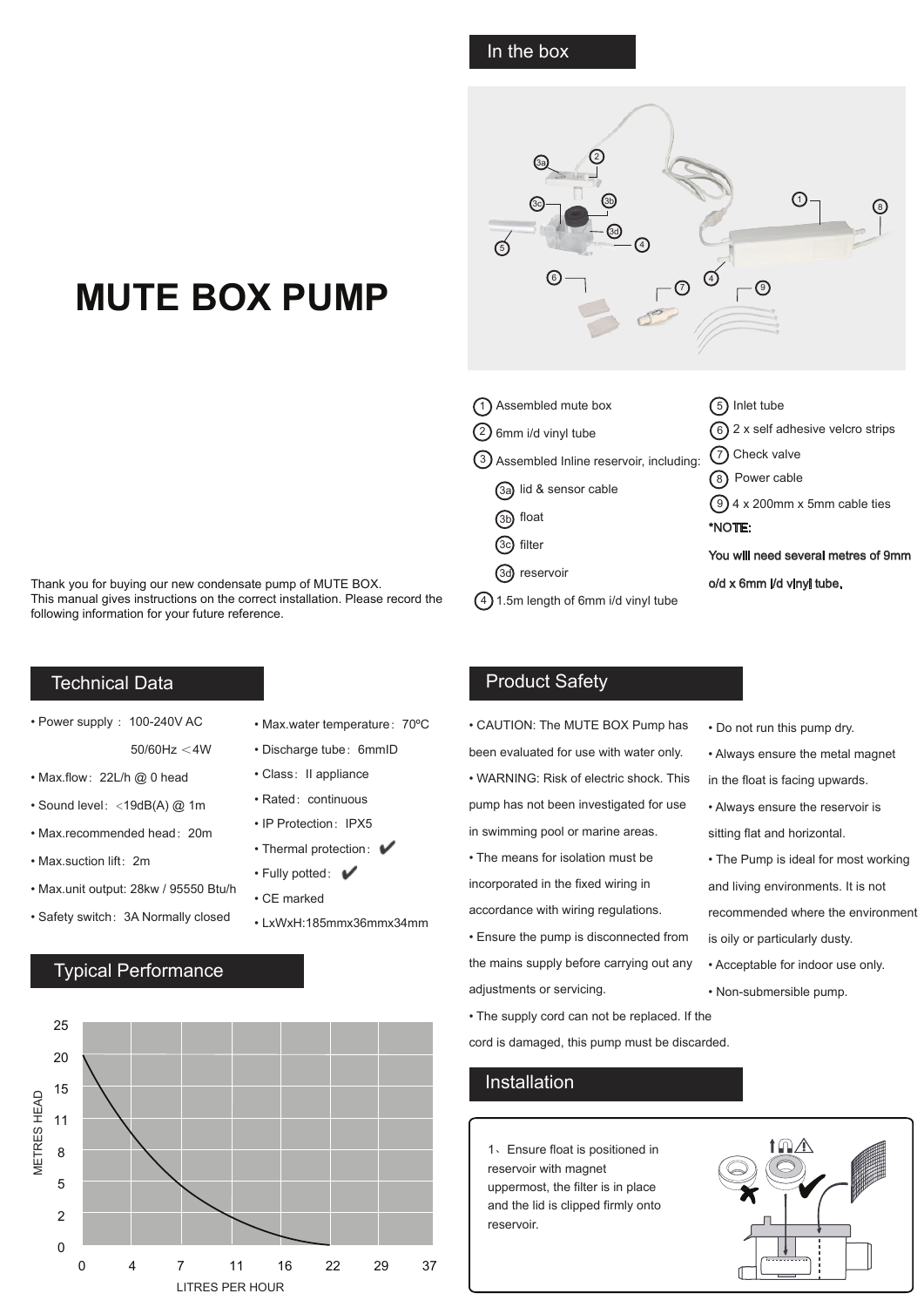#### In the box

# **MUTE BOX PUMP**

Thank you for buying our new condensate pump of MUTE BOX. This manual gives instructions on the correct installation. Please record the following information for your future reference.

#### Technical Data

- Power supply : 100-240V AC
	- 50/60Hz <4W
- Max.flow: 22L/h @ 0 head
- Sound level:<19dB(A) @ 1m
- Max.recommended head:20m
- Max.suction lift:2m
- Max.unit output: 28kw / 95550 Btu/h
- Safety switch:3A Normally closed
- Max.water temperature:70ºC
- Discharge tube: 6mmID
- Class: II appliance
- Rated: continuous
- IP Protection: IPX5
- Thermal protection:  $\blacktriangleright$
- Fully potted:
- CE marked
- LxWxH:185mmx36mmx34mm

# Typical Performance





| Inlet tube                            |
|---------------------------------------|
| $(6)$ 2 x self adhesive velcro strips |
| (7) Check valve                       |
| 8) Power cable                        |
| $(9)$ 4 x 200mm x 5mm cable ties      |
| *NOTE:                                |
| You will need several metres of 9mm   |
| o/d x 6mm i/d vinyl tube.             |
|                                       |
|                                       |

#### Product Safety

- CAUTION: The MUTE BOX Pump has been evaluated for use with water only. • WARNING: Risk of electric shock. This pump has not been investigated for use in swimming pool or marine areas.
- The means for isolation must be incorporated in the fixed wiring in accordance with wiring regulations.
- Ensure the pump is disconnected from the mains supply before carrying out any adjustments or servicing.
- The supply cord can not be replaced. If the cord is damaged, this pump must be discarded.

## Installation

1、Ensure float is positioned in reservoir with magnet uppermost, the filter is in place and the lid is clipped firmly onto reservoir.

- Do not run this pump dry.
- Always ensure the metal magnet in the float is facing upwards.
- Always ensure the reservoir is sitting flat and horizontal.
- The Pump is ideal for most working and living environments. It is not recommended where the environment is oily or particularly dusty.
- Acceptable for indoor use only.
- Non-submersible pump.